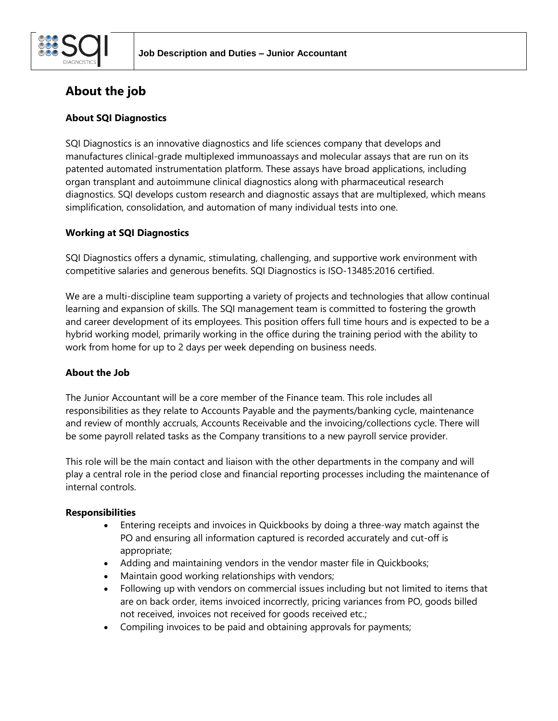

# **About the job**

## **About SQI Diagnostics**

SQI Diagnostics is an innovative diagnostics and life sciences company that develops and manufactures clinical-grade multiplexed immunoassays and molecular assays that are run on its patented automated instrumentation platform. These assays have broad applications, including organ transplant and autoimmune clinical diagnostics along with pharmaceutical research diagnostics. SQI develops custom research and diagnostic assays that are multiplexed, which means simplification, consolidation, and automation of many individual tests into one.

### **Working at SQI Diagnostics**

SQI Diagnostics offers a dynamic, stimulating, challenging, and supportive work environment with competitive salaries and generous benefits. SQI Diagnostics is ISO-13485:2016 certified.

We are a multi-discipline team supporting a variety of projects and technologies that allow continual learning and expansion of skills. The SQI management team is committed to fostering the growth and career development of its employees. This position offers full time hours and is expected to be a hybrid working model, primarily working in the office during the training period with the ability to work from home for up to 2 days per week depending on business needs.

### **About the Job**

The Junior Accountant will be a core member of the Finance team. This role includes all responsibilities as they relate to Accounts Payable and the payments/banking cycle, maintenance and review of monthly accruals, Accounts Receivable and the invoicing/collections cycle. There will be some payroll related tasks as the Company transitions to a new payroll service provider.

This role will be the main contact and liaison with the other departments in the company and will play a central role in the period close and financial reporting processes including the maintenance of internal controls.

### **Responsibilities**

- Entering receipts and invoices in Quickbooks by doing a three-way match against the PO and ensuring all information captured is recorded accurately and cut-off is appropriate;
- Adding and maintaining vendors in the vendor master file in Quickbooks;
- Maintain good working relationships with vendors;
- Following up with vendors on commercial issues including but not limited to items that are on back order, items invoiced incorrectly, pricing variances from PO, goods billed not received, invoices not received for goods received etc.;
- Compiling invoices to be paid and obtaining approvals for payments;